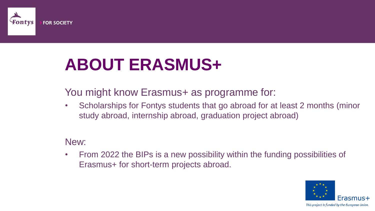

### **ABOUT ERASMUS+**

You might know Erasmus+ as programme for:

• Scholarships for Fontys students that go abroad for at least 2 months (minor study abroad, internship abroad, graduation project abroad)

New:

• From 2022 the BIPs is a new possibility within the funding possibilities of Erasmus+ for short-term projects abroad.

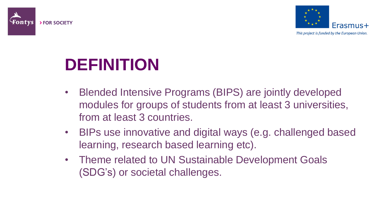



### **DEFINITION**

- Blended Intensive Programs (BIPS) are jointly developed modules for groups of students from at least 3 universities, from at least 3 countries.
- BIPs use innovative and digital ways (e.g. challenged based learning, research based learning etc).
- Theme related to UN Sustainable Development Goals (SDG's) or societal challenges.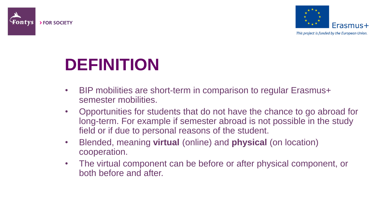



**DEFINITION**

- BIP mobilities are short-term in comparison to regular Erasmus+ semester mobilities.
- Opportunities for students that do not have the chance to go abroad for long-term. For example if semester abroad is not possible in the study field or if due to personal reasons of the student.
- Blended, meaning **virtual** (online) and **physical** (on location) cooperation.
- The virtual component can be before or after physical component, or both before and after.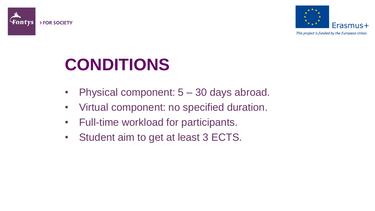



# **CONDITIONS**

- Physical component:  $5 30$  days abroad.
- Virtual component: no specified duration.
- Full-time workload for participants.
- Student aim to get at least 3 ECTS.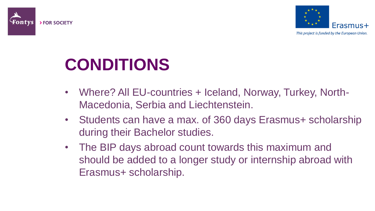



## **CONDITIONS**

- Where? All EU-countries + Iceland, Norway, Turkey, North-Macedonia, Serbia and Liechtenstein.
- Students can have a max. of 360 days Erasmus+ scholarship during their Bachelor studies.
- The BIP days abroad count towards this maximum and should be added to a longer study or internship abroad with Erasmus+ scholarship.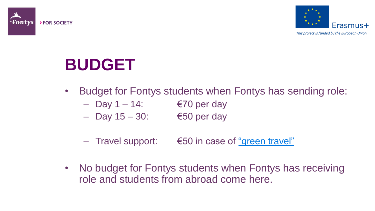



### **BUDGET**

- Budget for Fontys students when Fontys has sending role:
	- $-$  Day 1 14: €70 per day
	- $-$  Day 15 30: €50 per day
	- $-$  Travel support:  $∈50$  in case of ["green travel"](https://fontys.edu/Fontys-Study-Abroad/Green-Travel.htm)
- No budget for Fontys students when Fontys has receiving role and students from abroad come here.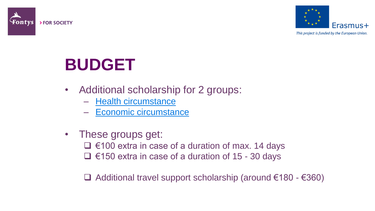



#### **BUDGET**

- Additional scholarship for 2 groups:
	- [Health circumstance](https://fontys.edu/Fontys-Study-Abroad/Scholarships-23/Erasmus-Scholarships.htm)
	- Economic [circumstance](https://fontys.edu/Fontys-Study-Abroad/Scholarships-23/Erasmus-Scholarships.htm)
- These groups get:
	- $□$  €100 extra in case of a duration of max. 14 days
	- €150 extra in case of a duration of 15 30 days

 $\Box$  Additional travel support scholarship (around €180 - €360)